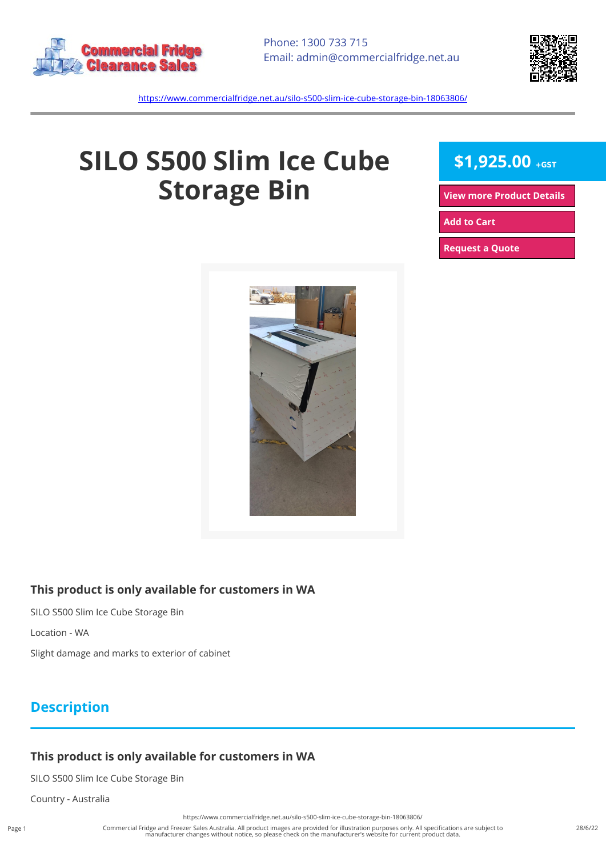



<https://www.commercialfridge.net.au/silo-s500-slim-ice-cube-storage-bin-18063806/>

# **SILO S500 Slim Ice Cube Storage Bin**

## **\$1,925.00 +GST**

**[View more Product Details](https://www.commercialfridge.net.au/silo-s500-slim-ice-cube-storage-bin-18063806/)**

**[Add to Cart](https://www.commercialfridge.net.au/silo-s500-slim-ice-cube-storage-bin-18063806/?addtocart=1)** 

**[Request a Quote](https://www.commercialfridge.net.au/silo-s500-slim-ice-cube-storage-bin-18063806/?requestaquote=1)** 



#### **This product is only available for customers in WA**

SILO S500 Slim Ice Cube Storage Bin

Location - WA

Slight damage and marks to exterior of cabinet

#### **Description**

#### **This product is only available for customers in WA**

SILO S500 Slim Ice Cube Storage Bin

Country - Australia

<https://www.commercialfridge.net.au/silo-s500-slim-ice-cube-storage-bin-18063806/>

Commercial Fridge and Freezer Sales Australia. All product images are provided for illustration purposes only. All specifications are subject to<br>manufacturer changes without notice, so please check on the manufacturer's we